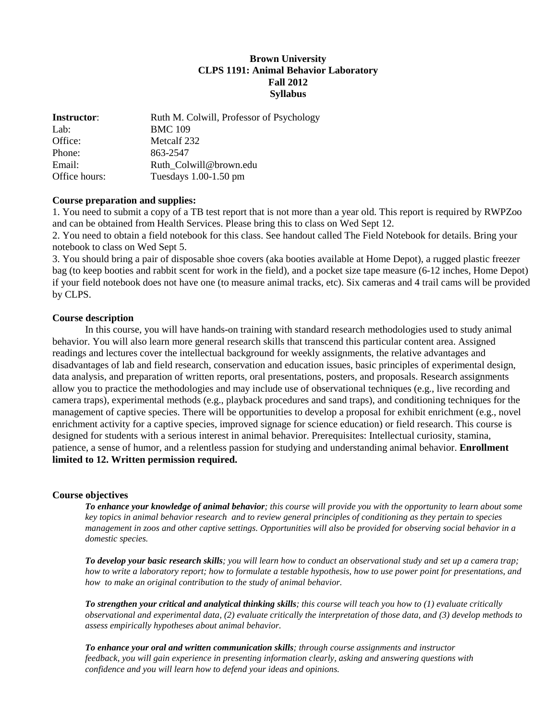# **Brown University CLPS 1191: Animal Behavior Laboratory Fall 2012 Syllabus**

| <b>Instructor:</b> | Ruth M. Colwill, Professor of Psychology |
|--------------------|------------------------------------------|
| Lab:               | <b>BMC 109</b>                           |
| Office:            | Metcalf 232                              |
| Phone:             | 863-2547                                 |
| Email:             | Ruth Colwill@brown.edu                   |
| Office hours:      | Tuesdays $1.00-1.50$ pm                  |

### **Course preparation and supplies:**

1. You need to submit a copy of a TB test report that is not more than a year old. This report is required by RWPZoo and can be obtained from Health Services. Please bring this to class on Wed Sept 12.

2. You need to obtain a field notebook for this class. See handout called The Field Notebook for details. Bring your notebook to class on Wed Sept 5.

3. You should bring a pair of disposable shoe covers (aka booties available at Home Depot), a rugged plastic freezer bag (to keep booties and rabbit scent for work in the field), and a pocket size tape measure (6-12 inches, Home Depot) if your field notebook does not have one (to measure animal tracks, etc). Six cameras and 4 trail cams will be provided by CLPS.

### **Course description**

In this course, you will have hands-on training with standard research methodologies used to study animal behavior. You will also learn more general research skills that transcend this particular content area. Assigned readings and lectures cover the intellectual background for weekly assignments, the relative advantages and disadvantages of lab and field research, conservation and education issues, basic principles of experimental design, data analysis, and preparation of written reports, oral presentations, posters, and proposals. Research assignments allow you to practice the methodologies and may include use of observational techniques (e.g., live recording and camera traps), experimental methods (e.g., playback procedures and sand traps), and conditioning techniques for the management of captive species. There will be opportunities to develop a proposal for exhibit enrichment (e.g., novel enrichment activity for a captive species, improved signage for science education) or field research. This course is designed for students with a serious interest in animal behavior. Prerequisites: Intellectual curiosity, stamina, patience, a sense of humor, and a relentless passion for studying and understanding animal behavior. **Enrollment limited to 12. Written permission required.**

### **Course objectives**

*To enhance your knowledge of animal behavior; this course will provide you with the opportunity to learn about some key topics in animal behavior research and to review general principles of conditioning as they pertain to species management in zoos and other captive settings. Opportunities will also be provided for observing social behavior in a domestic species.*

*To develop your basic research skills; you will learn how to conduct an observational study and set up a camera trap; how to write a laboratory report; how to formulate a testable hypothesis, how to use power point for presentations, and how to make an original contribution to the study of animal behavior.* 

*To strengthen your critical and analytical thinking skills; this course will teach you how to (1) evaluate critically observational and experimental data, (2) evaluate critically the interpretation of those data, and (3) develop methods to assess empirically hypotheses about animal behavior.*

*To enhance your oral and written communication skills; through course assignments and instructor feedback, you will gain experience in presenting information clearly, asking and answering questions with confidence and you will learn how to defend your ideas and opinions.*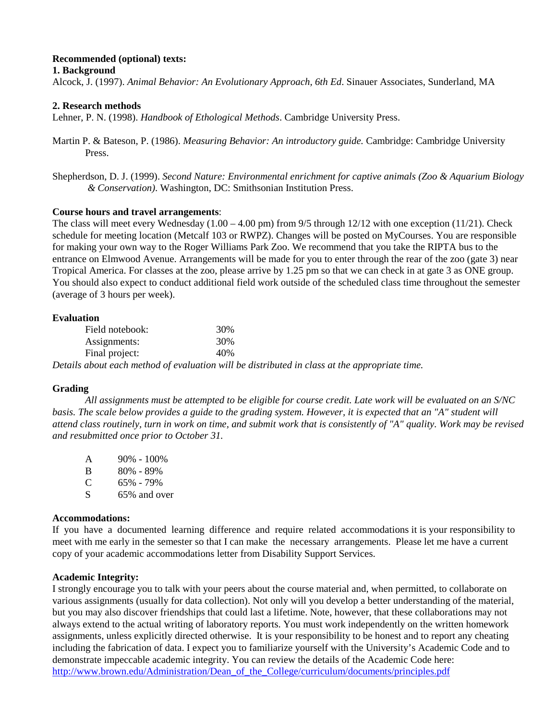# **Recommended (optional) texts:**

**1. Background**

Alcock, J. (1997). *Animal Behavior: An Evolutionary Approach, 6th Ed*. Sinauer Associates, Sunderland, MA

# **2. Research methods**

Lehner, P. N. (1998). *Handbook of Ethological Methods*. Cambridge University Press.

- Martin P. & Bateson, P. (1986). *Measuring Behavior: An introductory guide.* Cambridge: Cambridge University Press.
- Shepherdson, D. J. (1999). *Second Nature: Environmental enrichment for captive animals (Zoo & Aquarium Biology & Conservation)*. Washington, DC: Smithsonian Institution Press.

# **Course hours and travel arrangements**:

The class will meet every Wednesday  $(1.00 - 4.00 \text{ pm})$  from 9/5 through 12/12 with one exception (11/21). Check schedule for meeting location (Metcalf 103 or RWPZ). Changes will be posted on MyCourses. You are responsible for making your own way to the Roger Williams Park Zoo. We recommend that you take the RIPTA bus to the entrance on Elmwood Avenue. Arrangements will be made for you to enter through the rear of the zoo (gate 3) near Tropical America. For classes at the zoo, please arrive by 1.25 pm so that we can check in at gate 3 as ONE group. You should also expect to conduct additional field work outside of the scheduled class time throughout the semester (average of 3 hours per week).

| Evaluation      |     |  |
|-----------------|-----|--|
| Field notebook: | 30% |  |
| Assignments:    | 30% |  |
| Final project:  | 40% |  |

*Details about each method of evaluation will be distributed in class at the appropriate time.* 

## **Grading**

*All assignments must be attempted to be eligible for course credit. Late work will be evaluated on an S/NC basis. The scale below provides a guide to the grading system. However, it is expected that an "A" student will attend class routinely, turn in work on time, and submit work that is consistently of "A" quality. Work may be revised and resubmitted once prior to October 31.* 

| A            | $90\% - 100\%$ |
|--------------|----------------|
| <sup>B</sup> | 80% - 89%      |
| C            | 65% - 79%      |
| S.           | 65% and over   |

## **Accommodations:**

If you have a documented learning difference and require related accommodations it is your responsibility to meet with me early in the semester so that I can make the necessary arrangements. Please let me have a current copy of your academic accommodations letter from Disability Support Services.

## **Academic Integrity:**

I strongly encourage you to talk with your peers about the course material and, when permitted, to collaborate on various assignments (usually for data collection). Not only will you develop a better understanding of the material, but you may also discover friendships that could last a lifetime. Note, however, that these collaborations may not always extend to the actual writing of laboratory reports. You must work independently on the written homework assignments, unless explicitly directed otherwise. It is your responsibility to be honest and to report any cheating including the fabrication of data. I expect you to familiarize yourself with the University's Academic Code and to demonstrate impeccable academic integrity. You can review the details of the Academic Code here: [http://www.brown.edu/Administration/Dean\\_of\\_the\\_College/curriculum/documents/principles.pdf](http://www.brown.edu/Administration/Dean_of_the_College/curriculum/documents/principles.pdf)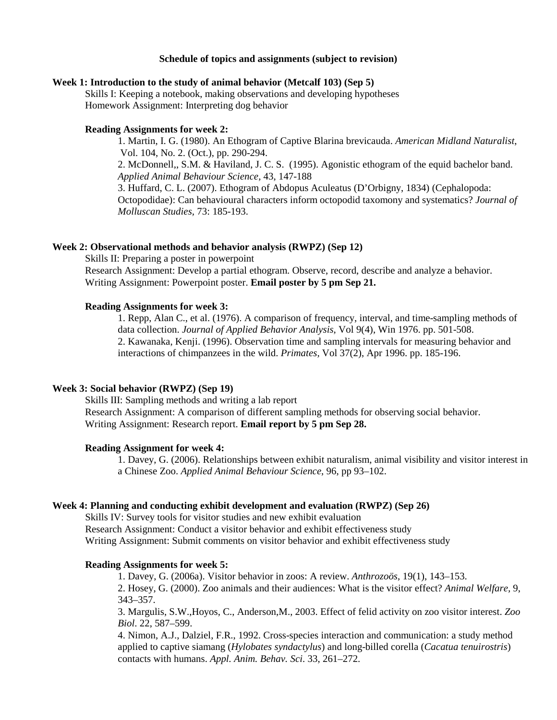#### **Schedule of topics and assignments (subject to revision)**

### **Week 1: Introduction to the study of animal behavior (Metcalf 103) (Sep 5)**

Skills I: Keeping a notebook, making observations and developing hypotheses Homework Assignment: Interpreting dog behavior

### **Reading Assignments for week 2:**

1. Martin, I. G. (1980). An Ethogram of Captive Blarina brevicauda. *American Midland Naturalist*, Vol. 104, No. 2. (Oct.), pp. 290-294.

2. McDonnell,, S.M. & Haviland, J. C. S. (1995). Agonistic ethogram of the equid bachelor band. *Applied Animal Behaviour Science,* 43, 147-188

3. Huffard, C. L. (2007). Ethogram of Abdopus Aculeatus (D'Orbigny, 1834) (Cephalopoda: Octopodidae): Can behavioural characters inform octopodid taxomony and systematics? *Journal of Molluscan Studies,* 73: 185-193.

#### **Week 2: Observational methods and behavior analysis (RWPZ) (Sep 12)**

Skills II: Preparing a poster in powerpoint Research Assignment: Develop a partial ethogram. Observe, record, describe and analyze a behavior. Writing Assignment: Powerpoint poster. **Email poster by 5 pm Sep 21.**

#### **Reading Assignments for week 3:**

1. Repp, Alan C., et al. (1976). A comparison of frequency, interval, and time-sampling methods of data collection. *Journal of Applied Behavior Analysis*, Vol 9(4), Win 1976. pp. 501-508. 2. Kawanaka, Kenji. (1996). Observation time and sampling intervals for measuring behavior and interactions of chimpanzees in the wild. *Primates,* Vol 37(2), Apr 1996. pp. 185-196.

#### **Week 3: Social behavior (RWPZ) (Sep 19)**

Skills III: Sampling methods and writing a lab report Research Assignment: A comparison of different sampling methods for observing social behavior. Writing Assignment: Research report. **Email report by 5 pm Sep 28.**

#### **Reading Assignment for week 4:**

1. Davey, G. (2006). Relationships between exhibit naturalism, animal visibility and visitor interest in a Chinese Zoo. *Applied Animal Behaviour Science*, 96, pp 93–102.

### **Week 4: Planning and conducting exhibit development and evaluation (RWPZ) (Sep 26)**

Skills IV: Survey tools for visitor studies and new exhibit evaluation Research Assignment: Conduct a visitor behavior and exhibit effectiveness study Writing Assignment: Submit comments on visitor behavior and exhibit effectiveness study

## **Reading Assignments for week 5:**

1. Davey, G. (2006a). Visitor behavior in zoos: A review. *Anthrozoös*, 19(1), 143–153. 2. Hosey, G. (2000). Zoo animals and their audiences: What is the visitor effect? *Animal Welfare,* 9, 343–357.

3. Margulis, S.W.,Hoyos, C., Anderson,M., 2003. Effect of felid activity on zoo visitor interest. *Zoo Biol*. 22, 587–599.

4. Nimon, A.J., Dalziel, F.R., 1992. Cross-species interaction and communication: a study method applied to captive siamang (*Hylobates syndactylus*) and long-billed corella (*Cacatua tenuirostris*) contacts with humans. *Appl. Anim. Behav. Sci*. 33, 261–272.